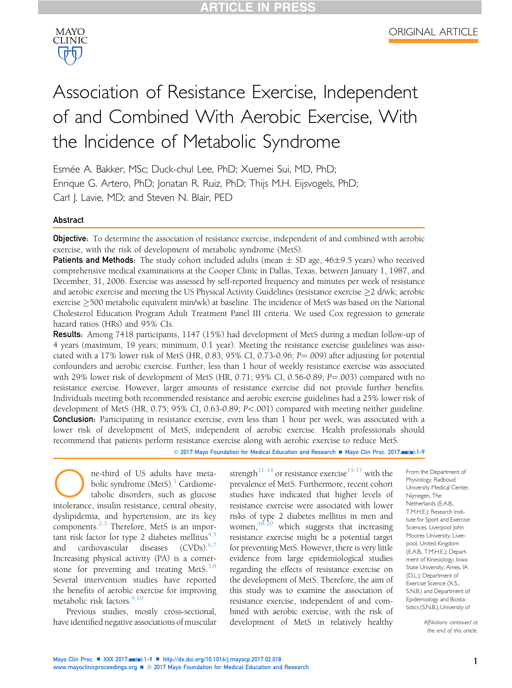

# Association of Resistance Exercise, Independent of and Combined With Aerobic Exercise, With the Incidence of Metabolic Syndrome

Esmée A. Bakker, MSc; Duck-chul Lee, PhD; Xuemei Sui, MD, PhD; Enrique G. Artero, PhD; Jonatan R. Ruiz, PhD; Thijs M.H. Eijsvogels, PhD; Carl J. Lavie, MD; and Steven N. Blair, PED

### Abstract

**Objective:** To determine the association of resistance exercise, independent of and combined with aerobic exercise, with the risk of development of metabolic syndrome (MetS).

**Patients and Methods:** The study cohort included adults (mean  $\pm$  SD age, 46 $\pm$ 9.5 years) who received comprehensive medical examinations at the Cooper Clinic in Dallas, Texas, between January 1, 1987, and December, 31, 2006. Exercise was assessed by self-reported frequency and minutes per week of resistance and aerobic exercise and meeting the US Physical Activity Guidelines (resistance exercise  $\geq$  2 d/wk; aerobic exercise  $\geq$  500 metabolic equivalent min/wk) at baseline. The incidence of MetS was based on the National Cholesterol Education Program Adult Treatment Panel III criteria. We used Cox regression to generate hazard ratios (HRs) and 95% CIs.

Results: Among 7418 participants, 1147 (15%) had development of MetS during a median follow-up of 4 years (maximum, 19 years; minimum, 0.1 year). Meeting the resistance exercise guidelines was associated with a 17% lower risk of MetS (HR, 0.83; 95% CI, 0.73-0.96;  $P=.009$ ) after adjusting for potential confounders and aerobic exercise. Further, less than 1 hour of weekly resistance exercise was associated with 29% lower risk of development of MetS (HR, 0.71; 95% CI, 0.56-0.89;  $P = .003$ ) compared with no resistance exercise. However, larger amounts of resistance exercise did not provide further benefits. Individuals meeting both recommended resistance and aerobic exercise guidelines had a 25% lower risk of development of MetS (HR, 0.75; 95% CI, 0.63-0.89; P<.001) compared with meeting neither guideline. **Conclusion:** Participating in resistance exercise, even less than 1 hour per week, was associated with a lower risk of development of MetS, independent of aerobic exercise. Health professionals should recommend that patients perform resistance exercise along with aerobic exercise to reduce MetS.

© 2017 Mayo Foundation for Medical Education and Research ■ Mayo Clin Proc. 2017;mm(m):1-9

**O**ne-third of US adults have meta-<br>bolic syndrome (MetS).<sup>1</sup> Cardiome-<br>tabolic disorders, such as glucose<br>intolerance, insulin resistance, central obesity, bolic syndrome (MetS). $\frac{1}{1}$  $\frac{1}{1}$  $\frac{1}{1}$  Cardiometabolic disorders, such as glucose dyslipidemia, and hypertension, are its key components.<sup>[2,3](#page-7-0)</sup> Therefore, MetS is an important risk factor for type 2 diabetes mellitus $4,5$ and cardiovascular diseases (CVDs).<sup>[6,7](#page-8-0)</sup> Increasing physical activity (PA) is a cornerstone for preventing and treating MetS. $3,8$ Several intervention studies have reported the benefits of aerobic exercise for improving metabolic risk factors. $9,10$ 

Previous studies, mostly cross-sectional, have identified negative associations of muscular strength<sup>11-14</sup> or resistance exercise<sup>[15-17](#page-8-0)</sup> with the prevalence of MetS. Furthermore, recent cohort studies have indicated that higher levels of resistance exercise were associated with lower risks of type 2 diabetes mellitus in men and women, $18-20$  which suggests that increasing resistance exercise might be a potential target for preventing MetS. However, there is very little evidence from large epidemiological studies regarding the effects of resistance exercise on the development of MetS. Therefore, the aim of this study was to examine the association of resistance exercise, independent of and combined with aerobic exercise, with the risk of development of MetS in relatively healthy

From the Department of Physiology, Radboud University Medical Center, Nijmegen, The Netherlands (E.A.B., T.M.H.E.); Research Institute for Sport and Exercise Sciences, Liverpool John Moores University, Liverpool, United Kingdom (E.A.B., T.M.H.E.); Department of Kinesiology, Iowa State University, Ames, IA (D.L.); Department of Exercise Science (X.S., S.N.B.) and Department of Epidemiology and Biostatistics (S.N.B.), University of

> Affiliations continued at the end of this article.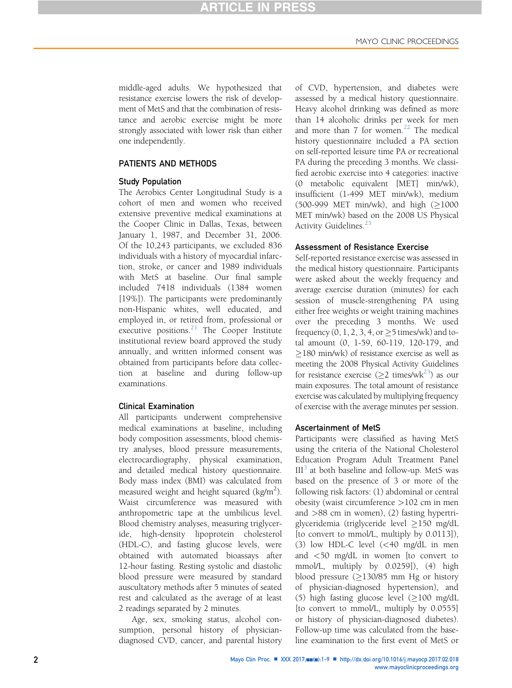middle-aged adults. We hypothesized that resistance exercise lowers the risk of development of MetS and that the combination of resistance and aerobic exercise might be more strongly associated with lower risk than either one independently.

### PATIENTS AND METHODS

### Study Population

The Aerobics Center Longitudinal Study is a cohort of men and women who received extensive preventive medical examinations at the Cooper Clinic in Dallas, Texas, between January 1, 1987, and December 31, 2006. Of the 10,243 participants, we excluded 836 individuals with a history of myocardial infarction, stroke, or cancer and 1989 individuals with MetS at baseline. Our final sample included 7418 individuals (1384 women [19%]). The participants were predominantly non-Hispanic whites, well educated, and employed in, or retired from, professional or executive positions.<sup>[21](#page-8-0)</sup> The Cooper Institute institutional review board approved the study annually, and written informed consent was obtained from participants before data collection at baseline and during follow-up examinations.

### Clinical Examination

All participants underwent comprehensive medical examinations at baseline, including body composition assessments, blood chemistry analyses, blood pressure measurements, electrocardiography, physical examination, and detailed medical history questionnaire. Body mass index (BMI) was calculated from measured weight and height squared (kg/m<sup>2</sup>). Waist circumference was measured with anthropometric tape at the umbilicus level. Blood chemistry analyses, measuring triglyceride, high-density lipoprotein cholesterol (HDL-C), and fasting glucose levels, were obtained with automated bioassays after 12-hour fasting. Resting systolic and diastolic blood pressure were measured by standard auscultatory methods after 5 minutes of seated rest and calculated as the average of at least 2 readings separated by 2 minutes.

Age, sex, smoking status, alcohol consumption, personal history of physiciandiagnosed CVD, cancer, and parental history of CVD, hypertension, and diabetes were assessed by a medical history questionnaire. Heavy alcohol drinking was defined as more than 14 alcoholic drinks per week for men and more than 7 for women.<sup>[22](#page-8-0)</sup> The medical history questionnaire included a PA section on self-reported leisure time PA or recreational PA during the preceding 3 months. We classified aerobic exercise into 4 categories: inactive (0 metabolic equivalent [MET] min/wk), insufficient (1-499 MET min/wk), medium (500-999 MET min/wk), and high  $(≥1000$ MET min/wk) based on the 2008 US Physical Activity Guidelines.<sup>[23](#page-8-0)</sup>

### Assessment of Resistance Exercise

Self-reported resistance exercise was assessed in the medical history questionnaire. Participants were asked about the weekly frequency and average exercise duration (minutes) for each session of muscle-strengthening PA using either free weights or weight training machines over the preceding 3 months. We used frequency  $(0, 1, 2, 3, 4, \text{or} \geq 5 \text{ times/wk})$  and total amount (0, 1-59, 60-119, 120-179, and  $\geq$ 180 min/wk) of resistance exercise as well as meeting the 2008 Physical Activity Guidelines for resistance exercise ( $\geq$ 2 times/wk<sup>[23](#page-8-0)</sup>) as our main exposures. The total amount of resistance exercise was calculated by multiplying frequency of exercise with the average minutes per session.

### Ascertainment of MetS

Participants were classified as having MetS using the criteria of the National Cholesterol Education Program Adult Treatment Panel  $III<sup>3</sup>$  $III<sup>3</sup>$  $III<sup>3</sup>$  at both baseline and follow-up. MetS was based on the presence of 3 or more of the following risk factors: (1) abdominal or central obesity (waist circumference >102 cm in men and >88 cm in women), (2) fasting hypertriglyceridemia (triglyceride level  $\geq$ 150 mg/dL [to convert to mmol/L, multiply by 0.0113]), (3) low HDL-C level (<40 mg/dL in men and <50 mg/dL in women [to convert to mmol/L, multiply by 0.0259]), (4) high blood pressure  $(\geq 130/85$  mm Hg or history<br>of physician-diagnosed hypertension), and physician-diagnosed hypertension), and (5) high fasting glucose level ( $\geq$ 100 mg/dL [to convert to mmol/L, multiply by 0.0555] or history of physician-diagnosed diabetes). Follow-up time was calculated from the baseline examination to the first event of MetS or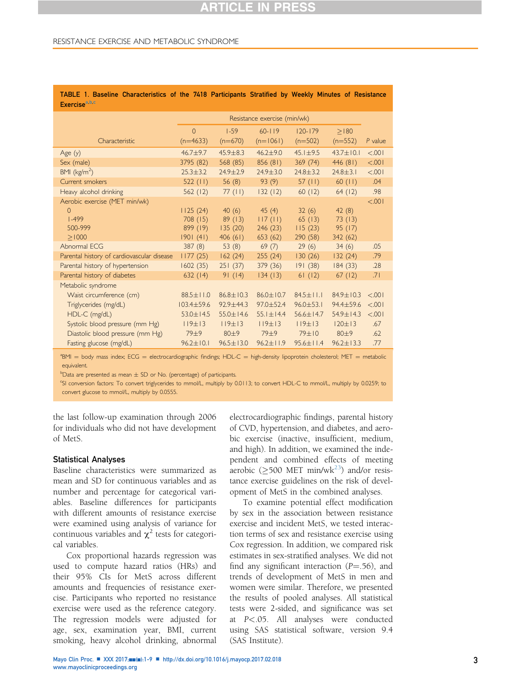### <span id="page-2-0"></span>RESISTANCE EXERCISE AND METABOLIC SYNDROME

| Exercise <sup>e.p.c</sup>                  |                              |                 |                  |                 |                 |         |  |
|--------------------------------------------|------------------------------|-----------------|------------------|-----------------|-----------------|---------|--|
|                                            | Resistance exercise (min/wk) |                 |                  |                 |                 |         |  |
|                                            | $\overline{0}$               | $1 - 59$        | $60 - 119$       | $120 - 179$     | >180            |         |  |
| Characteristic                             | $(n=4633)$                   | $(n=670)$       | $(n=1061)$       | $(n=502)$       | $(n=552)$       | P value |  |
| Age (y)                                    | $46.7 + 9.7$                 | $45.9 \pm 8.3$  | $46.2 + 9.0$     | $45.1 \pm 9.5$  | $43.7 \pm 10.1$ | 100.5   |  |
| Sex (male)                                 | 3795 (82)                    | 568 (85)        | 856 (81)         | 369(74)         | 446 (81)        | &001    |  |
| BMI $(kg/m2)$                              | $25.3 \pm 3.2$               | $24.9 \pm 2.9$  | $24.9 \pm 3.0$   | $24.8 \pm 3.2$  | $24.8 \pm 3.1$  | < 0.001 |  |
| Current smokers                            | $522$ (11)                   | 56 $(8)$        | 93(9)            | 57 $(11)$       | $60$ (11)       | .04     |  |
| Heavy alcohol drinking                     | 562(12)                      | 77(11)          | 132(12)          | 60(12)          | 64(12)          | .98     |  |
| Aerobic exercise (MET min/wk)              |                              |                 |                  |                 |                 | < 0.001 |  |
| $\Omega$                                   | 1125(24)                     | 40(6)           | 45(4)            | 32(6)           | 42(8)           |         |  |
| $1 - 499$                                  | 708(15)                      | 89(13)          | 117(11)          | 65(13)          | 73(13)          |         |  |
| 500-999                                    | 899(19)                      | 135(20)         | 246(23)          | 115(23)         | 95(17)          |         |  |
| > 1000                                     | 1901(41)                     | 406(61)         | 653 (62)         | 290 (58)        | 342 (62)        |         |  |
| Abnormal ECG                               | 387(8)                       | 53(8)           | 69(7)            | 29(6)           | 34(6)           | .05     |  |
| Parental history of cardiovascular disease | 1177(25)                     | 162(24)         | 255(24)          | 130(26)         | 132(24)         | .79     |  |
| Parental history of hypertension           | 1602(35)                     | 251(37)         | 379 (36)         | 191(38)         | 184(33)         | .28     |  |
| Parental history of diabetes               | 632(14)                      | 91(14)          | 134(13)          | 61(12)          | 67(12)          | .71     |  |
| Metabolic syndrome                         |                              |                 |                  |                 |                 |         |  |
| Waist circumference (cm)                   | $88.5 \pm 11.0$              | $86.8 \pm 10.3$ | $86.0 \pm 10.7$  | $84.5 + 11.1$   | $84.9 \pm 10.3$ | < 0.001 |  |
| Triglycerides (mg/dL)                      | 103.4±59.6                   | $92.9 \pm 44.3$ | $97.0 \pm 52.4$  | $96.0 \pm 53.1$ | 94.4±59.6       | < 0.001 |  |
| HDL-C (mg/dL)                              | $53.0 \pm 14.5$              | $55.0 \pm 14.6$ | $55.1 \pm 14.4$  | $56.6 \pm 14.7$ | 54.9±14.3       | < 0.001 |  |
| Systolic blood pressure (mm Hg)            | 119±13                       | 119±13          | 119±13           | 119±13          | $120 \pm 13$    | .67     |  |
| Diastolic blood pressure (mm Hg)           | 79±9                         | 80±9            | 79 <sup>±9</sup> | 79±10           | 80±9            | .62     |  |
| Fasting glucose (mg/dL)                    | $96.2 \pm 10.1$              | $96.5 \pm 13.0$ | $96.2 \pm 11.9$  | $95.6 \pm 11.4$ | $96.2 \pm 13.3$ | .77     |  |

TABLE 1. Baseline Characteristics of the 7418 Participants Stratified by Weekly Minutes of Resistance Exercise<sup>a,b,c</sup>

<sup>a</sup>BMI = body mass index; ECG = electrocardiographic findings; HDL-C = high-density lipoprotein cholesterol; MET = metabolic equivalent.

 $b_{\text{Data}}$  are presented as mean  $\pm$  SD or No. (percentage) of participants.<br>SL conversion fectors: To convert trial register to mmol/L multiply by (

<sup>c</sup>SI conversion factors: To convert triglycerides to mmol/L, multiply by 0.0113; to convert HDL-C to mmol/L, multiply by 0.0259; to convert glucose to mmol/L, multiply by 0.0555.

the last follow-up examination through 2006 for individuals who did not have development of MetS.

### Statistical Analyses

Baseline characteristics were summarized as mean and SD for continuous variables and as number and percentage for categorical variables. Baseline differences for participants with different amounts of resistance exercise were examined using analysis of variance for continuous variables and  $\chi^2$  tests for categorical variables.

Cox proportional hazards regression was used to compute hazard ratios (HRs) and their 95% CIs for MetS across different amounts and frequencies of resistance exercise. Participants who reported no resistance exercise were used as the reference category. The regression models were adjusted for age, sex, examination year, BMI, current smoking, heavy alcohol drinking, abnormal electrocardiographic findings, parental history of CVD, hypertension, and diabetes, and aerobic exercise (inactive, insufficient, medium, and high). In addition, we examined the independent and combined effects of meeting aerobic ( $\geq$ 500 MET min/wk<sup>23</sup>) and/or resistance exercise guidelines on the risk of development of MetS in the combined analyses.

To examine potential effect modification by sex in the association between resistance exercise and incident MetS, we tested interaction terms of sex and resistance exercise using Cox regression. In addition, we compared risk estimates in sex-stratified analyses. We did not find any significant interaction  $(P=.56)$ , and trends of development of MetS in men and women were similar. Therefore, we presented the results of pooled analyses. All statistical tests were 2-sided, and significance was set at P<.05. All analyses were conducted using SAS statistical software, version 9.4 (SAS Institute).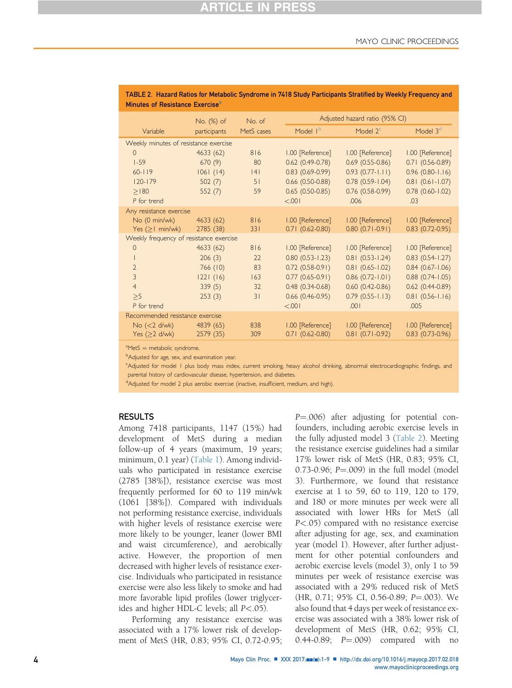| Minutes of Resistance Exercise <sup>a</sup> |              |            |                                |                        |                        |  |  |  |  |  |
|---------------------------------------------|--------------|------------|--------------------------------|------------------------|------------------------|--|--|--|--|--|
|                                             | No. (%) of   | No. of     | Adjusted hazard ratio (95% CI) |                        |                        |  |  |  |  |  |
| Variable                                    | participants | MetS cases | Model I <sup>b</sup>           | Model $2c$             | Model 3 <sup>d</sup>   |  |  |  |  |  |
| Weekly minutes of resistance exercise       |              |            |                                |                        |                        |  |  |  |  |  |
| $\Omega$                                    | 4633(62)     | 816        | 1.00 [Reference]               | 1.00 [Reference]       | 1.00 [Reference]       |  |  |  |  |  |
| $1 - 59$                                    | 670(9)       | 80         | $0.62$ (0.49-0.78)             | $0.69(0.55-0.86)$      | $0.71(0.56-0.89)$      |  |  |  |  |  |
| $60 - 119$                                  | 1061(14)     | 4          | $0.83(0.69-0.99)$              | $0.93(0.77 - 1.11)$    | $0.96$ (0.80-1.16)     |  |  |  |  |  |
| $120 - 179$                                 | 502(7)       | 51         | $0.66$ (0.50-0.88)             | $0.78$ $(0.59 - 1.04)$ | $0.81$ (0.61-1.07)     |  |  |  |  |  |
| >180                                        | 552(7)       | 59         | $0.65(0.50-0.85)$              | $0.76$ $(0.58-0.99)$   | $0.78$ $(0.60 - 1.02)$ |  |  |  |  |  |
| P for trend                                 |              |            | 100.5                          | .006                   | .03                    |  |  |  |  |  |
| Any resistance exercise                     |              |            |                                |                        |                        |  |  |  |  |  |
| No (0 min/wk)                               | 4633(62)     | 816        | 1.00 [Reference]               | 1.00 [Reference]       | 1.00 [Reference]       |  |  |  |  |  |
| Yes $( \geq 1$ min/wk)                      | 2785 (38)    | 331        | $0.71(0.62 - 0.80)$            | $0.80(0.71-0.91)$      | $0.83$ $(0.72 - 0.95)$ |  |  |  |  |  |
| Weekly frequency of resistance exercise     |              |            |                                |                        |                        |  |  |  |  |  |
| $\circ$                                     | 4633(62)     | 816        | 1.00 [Reference]               | 1.00 [Reference]       | 1.00 [Reference]       |  |  |  |  |  |
|                                             | 206(3)       | 22         | $0.80(0.53 - 1.23)$            | $0.81$ (0.53-1.24)     | $0.83$ $(0.54 - 1.27)$ |  |  |  |  |  |
| $\overline{2}$                              | 766(10)      | 83         | $0.72$ $(0.58-0.91)$           | $0.81$ (0.65-1.02)     | $0.84$ (0.67-1.06)     |  |  |  |  |  |
| 3                                           | 221(16)      | 163        | $0.77(0.65-0.91)$              | $0.86$ (0.72-1.01)     | $0.88$ $(0.74 - 1.05)$ |  |  |  |  |  |
| $\overline{4}$                              | 339(5)       | 32         | $0.48(0.34-0.68)$              | $0.60(0.42 - 0.86)$    | $0.62$ $(0.44 - 0.89)$ |  |  |  |  |  |
| >5                                          | 253(3)       | 31         | $0.66$ (0.46-0.95)             | $0.79$ $(0.55 - 1.13)$ | $0.81(0.56 - 1.16)$    |  |  |  |  |  |
| P for trend                                 |              |            | 100.                           | .001                   | .005                   |  |  |  |  |  |
| Recommended resistance exercise             |              |            |                                |                        |                        |  |  |  |  |  |
| No (< 2 d/wk)                               | 4839 (65)    | 838        | 1.00 [Reference]               | 1.00 [Reference]       | 1.00 [Reference]       |  |  |  |  |  |
| Yes $(≥2$ d/wk)                             | 2579 (35)    | 309        | $0.71(0.62 - 0.80)$            | $0.81(0.71-0.92)$      | $0.83$ $(0.73-0.96)$   |  |  |  |  |  |

### <span id="page-3-0"></span>TABLE 2. Hazard Ratios for Metabolic Syndrome in 7418 Study Participants Stratified by Weekly Frequency and Minutes of Resistance Exercise<sup>a</sup>

 $^{\text{a}}$ MetS = metabolic syndrome.

<sup>b</sup>Adjusted for age, sex, and examination year.

c Adjusted for model 1 plus body mass index, current smoking, heavy alcohol drinking, abnormal electrocardiographic findings, and parental history of cardiovascular disease, hypertension, and diabetes.

<sup>d</sup>Adjusted for model 2 plus aerobic exercise (inactive, insufficient, medium, and high).

### RESULTS

Among 7418 participants, 1147 (15%) had development of MetS during a median follow-up of 4 years (maximum, 19 years; minimum, 0.1 year) ([Table 1](#page-2-0)). Among individuals who participated in resistance exercise (2785 [38%]), resistance exercise was most frequently performed for 60 to 119 min/wk (1061 [38%]). Compared with individuals not performing resistance exercise, individuals with higher levels of resistance exercise were more likely to be younger, leaner (lower BMI and waist circumference), and aerobically active. However, the proportion of men decreased with higher levels of resistance exercise. Individuals who participated in resistance exercise were also less likely to smoke and had more favorable lipid profiles (lower triglycerides and higher HDL-C levels; all P<.05).

Performing any resistance exercise was associated with a 17% lower risk of development of MetS (HR, 0.83; 95% CI, 0.72-0.95; P=.006) after adjusting for potential confounders, including aerobic exercise levels in the fully adjusted model 3 (Table 2). Meeting the resistance exercise guidelines had a similar 17% lower risk of MetS (HR, 0.83; 95% CI, 0.73-0.96;  $P = .009$ ) in the full model (model 3). Furthermore, we found that resistance exercise at 1 to 59, 60 to 119, 120 to 179, and 180 or more minutes per week were all associated with lower HRs for MetS (all P<.05) compared with no resistance exercise after adjusting for age, sex, and examination year (model 1). However, after further adjustment for other potential confounders and aerobic exercise levels (model 3), only 1 to 59 minutes per week of resistance exercise was associated with a 29% reduced risk of MetS (HR, 0.71; 95% CI, 0.56-0.89; P=.003). We also found that 4 days per week of resistance exercise was associated with a 38% lower risk of development of MetS (HR, 0.62; 95% CI, 0.44-0.89;  $P = .009$  compared with no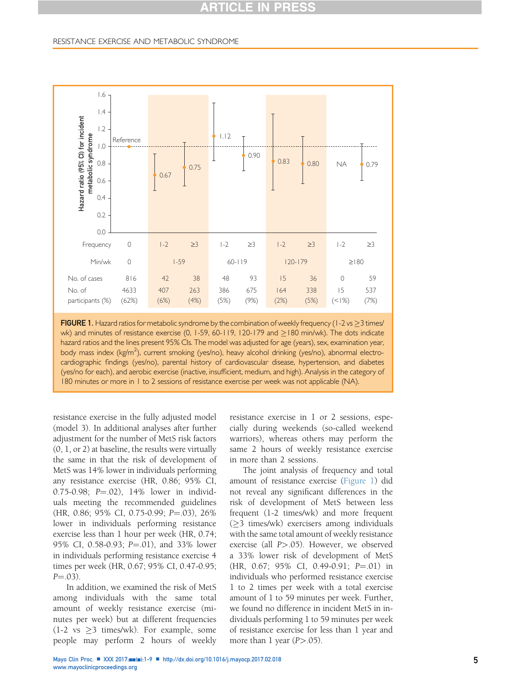### <span id="page-4-0"></span>RESISTANCE EXERCISE AND METABOLIC SYNDROME



FIGURE 1. Hazard ratios for metabolic syndrome by the combination of weekly frequency (1-2 vs  $\geq$ 3 times/ wk) and minutes of resistance exercise  $(0, 1-59, 60-119, 120-179,$  and  $>180$  min/wk). The dots indicate hazard ratios and the lines present 95% CIs. The model was adjusted for age (years), sex, examination year, body mass index (kg/m<sup>2</sup>), current smoking (yes/no), heavy alcohol drinking (yes/no), abnormal electrocardiographic findings (yes/no), parental history of cardiovascular disease, hypertension, and diabetes (yes/no for each), and aerobic exercise (inactive, insufficient, medium, and high). Analysis in the category of 180 minutes or more in 1 to 2 sessions of resistance exercise per week was not applicable (NA).

resistance exercise in the fully adjusted model (model 3). In additional analyses after further adjustment for the number of MetS risk factors (0, 1, or 2) at baseline, the results were virtually the same in that the risk of development of MetS was 14% lower in individuals performing any resistance exercise (HR, 0.86; 95% CI, 0.75-0.98;  $P = .02$ ), 14% lower in individuals meeting the recommended guidelines  $(HR, 0.86; 95\% \text{ CI}, 0.75{\text -}0.99; P = .03), 26\%$ lower in individuals performing resistance exercise less than 1 hour per week (HR, 0.74; 95% CI, 0.58-0.93; P=.01), and 33% lower in individuals performing resistance exercise 4 times per week (HR, 0.67; 95% CI, 0.47-0.95;  $P = .03$ ).

In addition, we examined the risk of MetS among individuals with the same total amount of weekly resistance exercise (minutes per week) but at different frequencies  $(1-2 \text{ vs } \geq 3 \text{ times/wk})$ . For example, some people may perform 2 hours of weekly

resistance exercise in 1 or 2 sessions, especially during weekends (so-called weekend warriors), whereas others may perform the same 2 hours of weekly resistance exercise in more than 2 sessions.

The joint analysis of frequency and total amount of resistance exercise (Figure 1) did not reveal any significant differences in the risk of development of MetS between less frequent (1-2 times/wk) and more frequent  $(\geq)$  times/wk) exercisers among individuals with the same total amount of weekly resistance exercise (all P>.05). However, we observed a 33% lower risk of development of MetS  $(HR, 0.67; 95\% \text{ CI}, 0.49-0.91; P=.01)$  in individuals who performed resistance exercise 1 to 2 times per week with a total exercise amount of 1 to 59 minutes per week. Further, we found no difference in incident MetS in individuals performing 1 to 59 minutes per week of resistance exercise for less than 1 year and more than 1 year  $(P > .05)$ .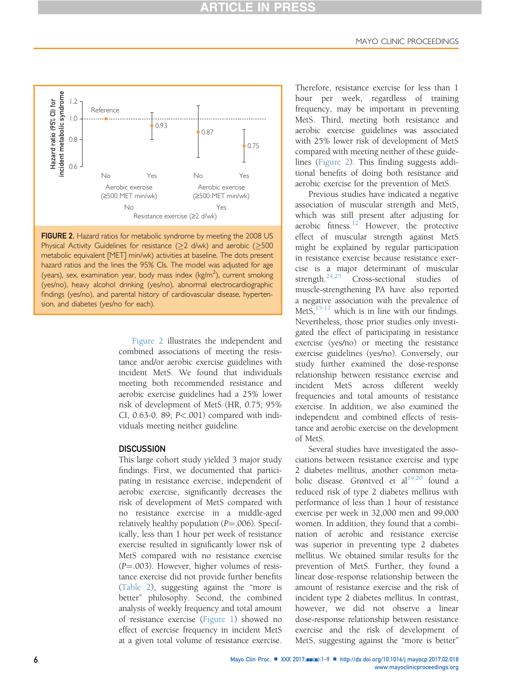

FIGURE 2. Hazard ratios for metabolic syndrome by meeting the 2008 US Physical Activity Guidelines for resistance ( $\geq$ 2 d/wk) and aerobic ( $\geq$ 500 metabolic equivalent [MET] min/wk) activities at baseline. The dots present hazard ratios and the lines the 95% CIs. The model was adjusted for age (years), sex, examination year, body mass index (kg/m<sup>2</sup>), current smoking (yes/no), heavy alcohol drinking (yes/no), abnormal electrocardiographic findings (yes/no), and parental history of cardiovascular disease, hypertension, and diabetes (yes/no for each).

Figure 2 illustrates the independent and combined associations of meeting the resistance and/or aerobic exercise guidelines with incident MetS. We found that individuals meeting both recommended resistance and aerobic exercise guidelines had a 25% lower risk of development of MetS (HR, 0.75; 95% CI, 0.63-0. 89; P<.001) compared with individuals meeting neither guideline.

### **DISCUSSION**

This large cohort study yielded 3 major study findings. First, we documented that participating in resistance exercise, independent of aerobic exercise, significantly decreases the risk of development of MetS compared with no resistance exercise in a middle-aged relatively healthy population  $(P = .006)$ . Specifically, less than 1 hour per week of resistance exercise resulted in significantly lower risk of MetS compared with no resistance exercise  $(P = .003)$ . However, higher volumes of resistance exercise did not provide further benefits ([Table 2\)](#page-3-0), suggesting against the "more is better" philosophy. Second, the combined analysis of weekly frequency and total amount of resistance exercise [\(Figure 1\)](#page-4-0) showed no effect of exercise frequency in incident MetS at a given total volume of resistance exercise.

Therefore, resistance exercise for less than 1 hour per week, regardless of training frequency, may be important in preventing MetS. Third, meeting both resistance and aerobic exercise guidelines was associated with 25% lower risk of development of MetS compared with meeting neither of these guidelines (Figure 2). This finding suggests additional benefits of doing both resistance and aerobic exercise for the prevention of MetS.

Previous studies have indicated a negative association of muscular strength and MetS, which was still present after adjusting for aerobic fitness. $12$  However, the protective effect of muscular strength against MetS might be explained by regular participation in resistance exercise because resistance exercise is a major determinant of muscular strength. $24,25$  Cross-sectional studies of muscle-strengthening PA have also reported a negative association with the prevalence of MetS, $15-17$  which is in line with our findings. Nevertheless, those prior studies only investigated the effect of participating in resistance exercise (yes/no) or meeting the resistance exercise guidelines (yes/no). Conversely, our study further examined the dose-response relationship between resistance exercise and incident MetS across different weekly frequencies and total amounts of resistance exercise. In addition, we also examined the independent and combined effects of resistance and aerobic exercise on the development of MetS.

Several studies have investigated the associations between resistance exercise and type 2 diabetes mellitus, another common metabolic disease. Grøntved et al $19,20$  found a reduced risk of type 2 diabetes mellitus with performance of less than 1 hour of resistance exercise per week in 32,000 men and 99,000 women. In addition, they found that a combination of aerobic and resistance exercise was superior in preventing type 2 diabetes mellitus. We obtained similar results for the prevention of MetS. Further, they found a linear dose-response relationship between the amount of resistance exercise and the risk of incident type 2 diabetes mellitus. In contrast, however, we did not observe a linear dose-response relationship between resistance exercise and the risk of development of MetS, suggesting against the "more is better"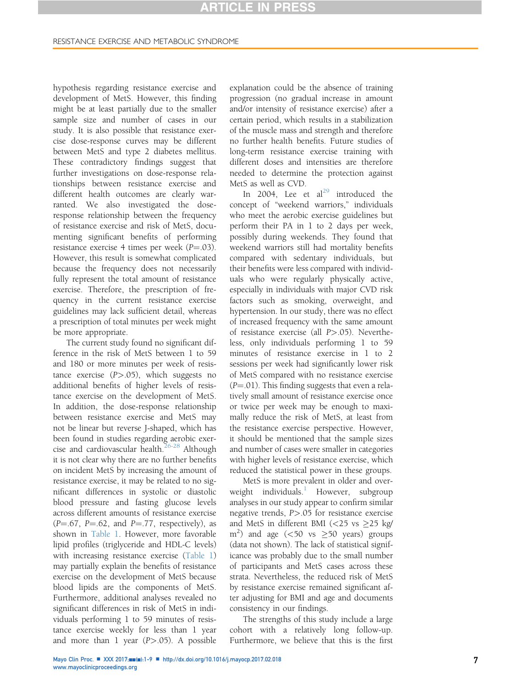hypothesis regarding resistance exercise and development of MetS. However, this finding might be at least partially due to the smaller sample size and number of cases in our study. It is also possible that resistance exercise dose-response curves may be different between MetS and type 2 diabetes mellitus. These contradictory findings suggest that further investigations on dose-response relationships between resistance exercise and different health outcomes are clearly warranted. We also investigated the doseresponse relationship between the frequency of resistance exercise and risk of MetS, documenting significant benefits of performing resistance exercise 4 times per week  $(P=.03)$ . However, this result is somewhat complicated because the frequency does not necessarily fully represent the total amount of resistance exercise. Therefore, the prescription of frequency in the current resistance exercise guidelines may lack sufficient detail, whereas a prescription of total minutes per week might be more appropriate.

The current study found no significant difference in the risk of MetS between 1 to 59 and 180 or more minutes per week of resistance exercise  $(P>0.05)$ , which suggests no additional benefits of higher levels of resistance exercise on the development of MetS. In addition, the dose-response relationship between resistance exercise and MetS may not be linear but reverse J-shaped, which has been found in studies regarding aerobic exer-cise and cardiovascular health.<sup>[26-28](#page-8-0)</sup> Although it is not clear why there are no further benefits on incident MetS by increasing the amount of resistance exercise, it may be related to no significant differences in systolic or diastolic blood pressure and fasting glucose levels across different amounts of resistance exercise  $(P=.67, P=.62, and P=.77, respectively)$ , as shown in [Table 1.](#page-2-0) However, more favorable lipid profiles (triglyceride and HDL-C levels) with increasing resistance exercise ([Table 1](#page-2-0)) may partially explain the benefits of resistance exercise on the development of MetS because blood lipids are the components of MetS. Furthermore, additional analyses revealed no significant differences in risk of MetS in individuals performing 1 to 59 minutes of resistance exercise weekly for less than 1 year and more than 1 year  $(P>0.05)$ . A possible

explanation could be the absence of training progression (no gradual increase in amount and/or intensity of resistance exercise) after a certain period, which results in a stabilization of the muscle mass and strength and therefore no further health benefits. Future studies of long-term resistance exercise training with different doses and intensities are therefore needed to determine the protection against MetS as well as CVD.

In 2004, Lee et  $al^{29}$  $al^{29}$  $al^{29}$  introduced the concept of "weekend warriors," individuals who meet the aerobic exercise guidelines but perform their PA in 1 to 2 days per week, possibly during weekends. They found that weekend warriors still had mortality benefits compared with sedentary individuals, but their benefits were less compared with individuals who were regularly physically active, especially in individuals with major CVD risk factors such as smoking, overweight, and hypertension. In our study, there was no effect of increased frequency with the same amount of resistance exercise (all P>.05). Nevertheless, only individuals performing 1 to 59 minutes of resistance exercise in 1 to 2 sessions per week had significantly lower risk of MetS compared with no resistance exercise  $(P = .01)$ . This finding suggests that even a relatively small amount of resistance exercise once or twice per week may be enough to maximally reduce the risk of MetS, at least from the resistance exercise perspective. However, it should be mentioned that the sample sizes and number of cases were smaller in categories with higher levels of resistance exercise, which reduced the statistical power in these groups.

MetS is more prevalent in older and over-weight individuals.<sup>[1](#page-7-0)</sup> However, subgroup analyses in our study appear to confirm similar negative trends, P>.05 for resistance exercise and MetS in different BMI ( $\textless{}25$  vs  $\textless{}25$  kg/  $\text{m}^2$ ) and age (<50 vs  $\geq$ 50 years) groups (data not shown). The lack of statistical significance was probably due to the small number of participants and MetS cases across these strata. Nevertheless, the reduced risk of MetS by resistance exercise remained significant after adjusting for BMI and age and documents consistency in our findings.

The strengths of this study include a large cohort with a relatively long follow-up. Furthermore, we believe that this is the first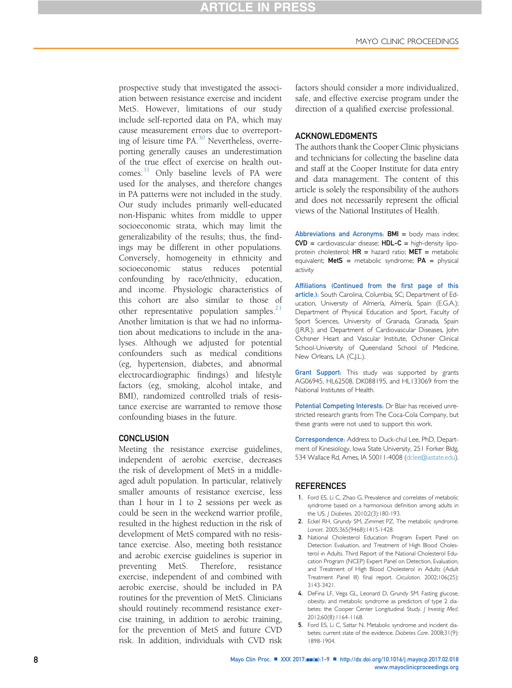<span id="page-7-0"></span>prospective study that investigated the association between resistance exercise and incident MetS. However, limitations of our study include self-reported data on PA, which may cause measurement errors due to overreporting of leisure time PA.[30](#page-8-0) Nevertheless, overreporting generally causes an underestimation of the true effect of exercise on health out-comes.<sup>[31](#page-8-0)</sup> Only baseline levels of PA were used for the analyses, and therefore changes in PA patterns were not included in the study. Our study includes primarily well-educated non-Hispanic whites from middle to upper socioeconomic strata, which may limit the generalizability of the results; thus, the findings may be different in other populations. Conversely, homogeneity in ethnicity and socioeconomic status reduces potential confounding by race/ethnicity, education, and income. Physiologic characteristics of this cohort are also similar to those of other representative population samples. $21$ Another limitation is that we had no information about medications to include in the analyses. Although we adjusted for potential confounders such as medical conditions (eg, hypertension, diabetes, and abnormal electrocardiographic findings) and lifestyle factors (eg, smoking, alcohol intake, and BMI), randomized controlled trials of resistance exercise are warranted to remove those confounding biases in the future.

### **CONCLUSION**

Meeting the resistance exercise guidelines, independent of aerobic exercise, decreases the risk of development of MetS in a middleaged adult population. In particular, relatively smaller amounts of resistance exercise, less than 1 hour in 1 to 2 sessions per week as could be seen in the weekend warrior profile, resulted in the highest reduction in the risk of development of MetS compared with no resistance exercise. Also, meeting both resistance and aerobic exercise guidelines is superior in preventing MetS. Therefore, resistance exercise, independent of and combined with aerobic exercise, should be included in PA routines for the prevention of MetS. Clinicians should routinely recommend resistance exercise training, in addition to aerobic training, for the prevention of MetS and future CVD risk. In addition, individuals with CVD risk

factors should consider a more individualized, safe, and effective exercise program under the direction of a qualified exercise professional.

### ACKNOWLEDGMENTS

The authors thank the Cooper Clinic physicians and technicians for collecting the baseline data and staff at the Cooper Institute for data entry and data management. The content of this article is solely the responsibility of the authors and does not necessarily represent the official views of the National Institutes of Health.

Abbreviations and Acronyms:  $BMI =$  body mass index;  $CVD =$  cardiovascular disease;  $HDL-C =$  high-density lipoprotein cholesterol;  $HR =$  hazard ratio;  $MET =$  metabolic equivalent; **MetS** = metabolic syndrome;  $PA$  = physical activity

Affiliations (Continued from the first page of this article.): South Carolina, Columbia, SC; Department of Education, University of Almería, Almería, Spain (E.G.A.); Department of Physical Education and Sport, Faculty of Sport Sciences, University of Granada, Granada, Spain (J.R.R.); and Department of Cardiovascular Diseases, John Ochsner Heart and Vascular Institute, Ochsner Clinical School-University of Queensland School of Medicine, New Orleans, LA (C.J.L.).

Grant Support: This study was supported by grants AG06945, HL62508, DK088195, and HL133069 from the National Institutes of Health.

Potential Competing Interests: Dr Blair has received unrestricted research grants from The Coca-Cola Company, but these grants were not used to support this work.

Correspondence: Address to Duck-chul Lee, PhD, Department of Kinesiology, Iowa State University, 251 Forker Bldg, 534 Wallace Rd, Ames, IA 50011-4008 ([dclee@iastate.edu](mailto:dclee@iastate.edu)).

#### REFERENCES

- 1. Ford ES, Li C, Zhao G. Prevalence and correlates of metabolic syndrome based on a harmonious definition among adults in the US. J Diabetes. 2010;2(3):180-193.
- 2. Eckel RH, Grundy SM, Zimmet PZ. The metabolic syndrome. Lancet. 2005;365(9468):1415-1428.
- 3. National Cholesterol Education Program Expert Panel on Detection Evaluation, and Treatment of High Blood Cholesterol in Adults. Third Report of the National Cholesterol Education Program (NCEP) Expert Panel on Detection, Evaluation, and Treatment of High Blood Cholesterol in Adults (Adult Treatment Panel III) final report. Circulation. 2002;106(25): 3143-3421.
- 4. DeFina LF, Vega GL, Leonard D, Grundy SM. Fasting glucose, obesity, and metabolic syndrome as predictors of type 2 diabetes: the Cooper Center Longitudinal Study. J Investig Med. 2012;60(8):1164-1168.
- 5. Ford ES, Li C, Sattar N. Metabolic syndrome and incident diabetes: current state of the evidence. Diabetes Care. 2008;31(9): 1898-1904.